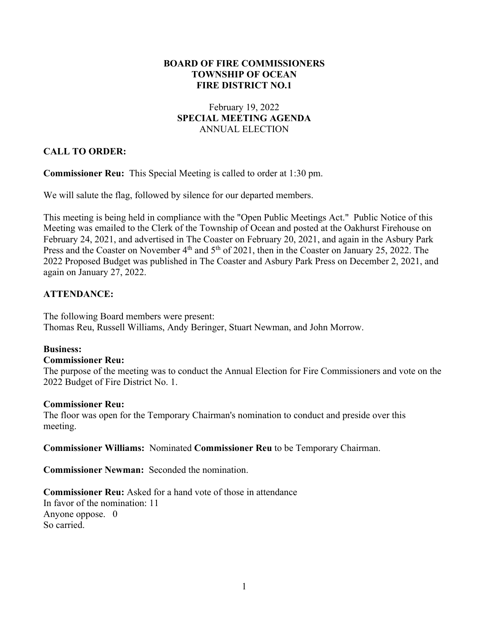### **BOARD OF FIRE COMMISSIONERS TOWNSHIP OF OCEAN FIRE DISTRICT NO.1**

## February 19, 2022 **SPECIAL MEETING AGENDA** ANNUAL ELECTION

# **CALL TO ORDER:**

**Commissioner Reu:** This Special Meeting is called to order at 1:30 pm.

We will salute the flag, followed by silence for our departed members.

This meeting is being held in compliance with the "Open Public Meetings Act." Public Notice of this Meeting was emailed to the Clerk of the Township of Ocean and posted at the Oakhurst Firehouse on February 24, 2021, and advertised in The Coaster on February 20, 2021, and again in the Asbury Park Press and the Coaster on November 4<sup>th</sup> and 5<sup>th</sup> of 2021, then in the Coaster on January 25, 2022. The 2022 Proposed Budget was published in The Coaster and Asbury Park Press on December 2, 2021, and again on January 27, 2022.

## **ATTENDANCE:**

The following Board members were present: Thomas Reu, Russell Williams, Andy Beringer, Stuart Newman, and John Morrow.

#### **Business:**

#### **Commissioner Reu:**

The purpose of the meeting was to conduct the Annual Election for Fire Commissioners and vote on the 2022 Budget of Fire District No. 1.

#### **Commissioner Reu:**

The floor was open for the Temporary Chairman's nomination to conduct and preside over this meeting.

**Commissioner Williams:** Nominated **Commissioner Reu** to be Temporary Chairman.

**Commissioner Newman:** Seconded the nomination.

**Commissioner Reu:** Asked for a hand vote of those in attendance In favor of the nomination: 11 Anyone oppose. 0 So carried.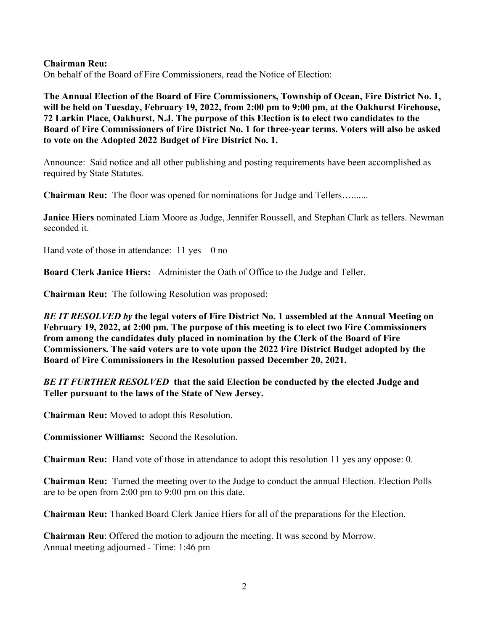#### **Chairman Reu:**

On behalf of the Board of Fire Commissioners, read the Notice of Election:

**The Annual Election of the Board of Fire Commissioners, Township of Ocean, Fire District No. 1, will be held on Tuesday, February 19, 2022, from 2:00 pm to 9:00 pm, at the Oakhurst Firehouse, 72 Larkin Place, Oakhurst, N.J. The purpose of this Election is to elect two candidates to the Board of Fire Commissioners of Fire District No. 1 for three-year terms. Voters will also be asked to vote on the Adopted 2022 Budget of Fire District No. 1.**

Announce: Said notice and all other publishing and posting requirements have been accomplished as required by State Statutes.

**Chairman Reu:** The floor was opened for nominations for Judge and Tellers….......

**Janice Hiers** nominated Liam Moore as Judge, Jennifer Roussell, and Stephan Clark as tellers. Newman seconded it.

Hand vote of those in attendance:  $11$  yes  $-0$  no

**Board Clerk Janice Hiers:** Administer the Oath of Office to the Judge and Teller.

**Chairman Reu:** The following Resolution was proposed:

*BE IT RESOLVED by* **the legal voters of Fire District No. 1 assembled at the Annual Meeting on February 19, 2022, at 2:00 pm. The purpose of this meeting is to elect two Fire Commissioners from among the candidates duly placed in nomination by the Clerk of the Board of Fire Commissioners. The said voters are to vote upon the 2022 Fire District Budget adopted by the Board of Fire Commissioners in the Resolution passed December 20, 2021.**

*BE IT FURTHER RESOLVED* **that the said Election be conducted by the elected Judge and Teller pursuant to the laws of the State of New Jersey.**

**Chairman Reu:** Moved to adopt this Resolution.

**Commissioner Williams:** Second the Resolution.

**Chairman Reu:** Hand vote of those in attendance to adopt this resolution 11 yes any oppose: 0.

**Chairman Reu:** Turned the meeting over to the Judge to conduct the annual Election. Election Polls are to be open from 2:00 pm to 9:00 pm on this date.

**Chairman Reu:** Thanked Board Clerk Janice Hiers for all of the preparations for the Election.

**Chairman Reu**: Offered the motion to adjourn the meeting. It was second by Morrow. Annual meeting adjourned - Time: 1:46 pm